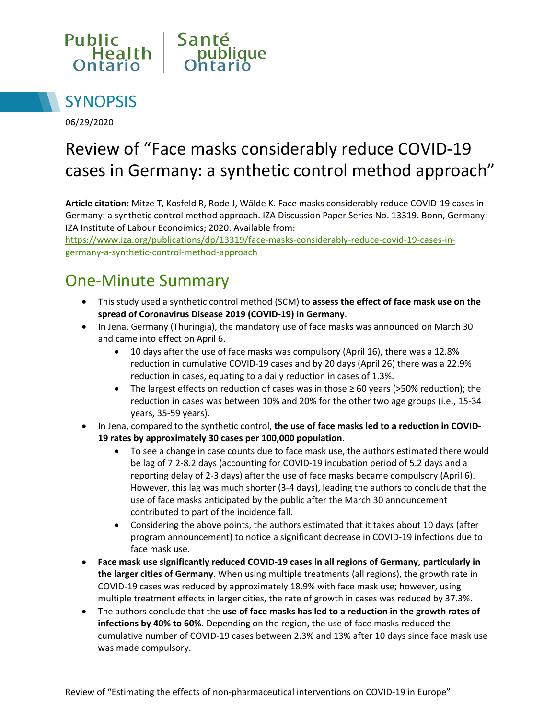



06/29/2020

# Review of "Face masks considerably reduce COVID-19 cases in Germany: a synthetic control method approach"

**Article citation:** Mitze T, Kosfeld R, Rode J, Wälde K. Face masks considerably reduce COVID-19 cases in Germany: a synthetic control method approach. IZA Discussion Paper Series No. 13319. Bonn, Germany: IZA Institute of Labour Econoimics; 2020. Available from:

https://www.iza.org/publications/dp/13319/face-masks-considerably-reduce-covid-19-cases-ingermany-a-synthetic-control-method-approach

### One-Minute Summary

- This study used a synthetic control method (SCM) to **assess the effect of face mask use on the spread of Coronavirus Disease 2019 (COVID-19) in Germany**.
- In Jena, Germany (Thuringia), the mandatory use of face masks was announced on March 30 and came into effect on April 6.
	- 10 days after the use of face masks was compulsory (April 16), there was a 12.8% reduction in cumulative COVID-19 cases and by 20 days (April 26) there was a 22.9% reduction in cases, equating to a daily reduction in cases of 1.3%.
	- The largest effects on reduction of cases was in those ≥ 60 years (>50% reduction); the reduction in cases was between 10% and 20% for the other two age groups (i.e., 15-34 years, 35-59 years).
- In Jena, compared to the synthetic control, **the use of face masks led to a reduction in COVID-19 rates by approximately 30 cases per 100,000 population**.
	- To see a change in case counts due to face mask use, the authors estimated there would be lag of 7.2-8.2 days (accounting for COVID-19 incubation period of 5.2 days and a reporting delay of 2-3 days) after the use of face masks became compulsory (April 6). However, this lag was much shorter (3-4 days), leading the authors to conclude that the use of face masks anticipated by the public after the March 30 announcement contributed to part of the incidence fall.
	- Considering the above points, the authors estimated that it takes about 10 days (after program announcement) to notice a significant decrease in COVID-19 infections due to face mask use.
- **Face mask use significantly reduced COVID-19 cases in all regions of Germany, particularly in the larger cities of Germany**. When using multiple treatments (all regions), the growth rate in COVID-19 cases was reduced by approximately 18.9% with face mask use; however, using multiple treatment effects in larger cities, the rate of growth in cases was reduced by 37.3%.
- The authors conclude that the **use of face masks has led to a reduction in the growth rates of infections by 40% to 60%**. Depending on the region, the use of face masks reduced the cumulative number of COVID-19 cases between 2.3% and 13% after 10 days since face mask use was made compulsory.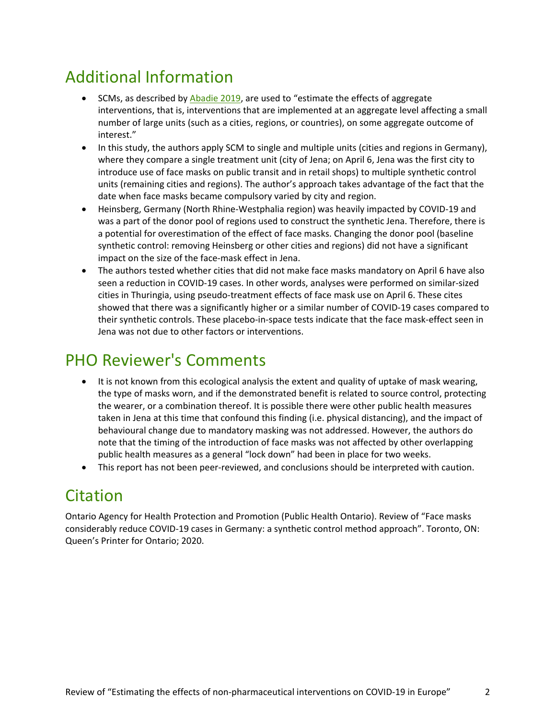## Additional Information

- SCMs, as described by [Abadie 2019,](https://economics.mit.edu/files/17847) are used to "estimate the effects of aggregate interventions, that is, interventions that are implemented at an aggregate level affecting a small number of large units (such as a cities, regions, or countries), on some aggregate outcome of interest."
- In this study, the authors apply SCM to single and multiple units (cities and regions in Germany), where they compare a single treatment unit (city of Jena; on April 6, Jena was the first city to introduce use of face masks on public transit and in retail shops) to multiple synthetic control units (remaining cities and regions). The author's approach takes advantage of the fact that the date when face masks became compulsory varied by city and region.
- Heinsberg, Germany (North Rhine-Westphalia region) was heavily impacted by COVID-19 and was a part of the donor pool of regions used to construct the synthetic Jena. Therefore, there is a potential for overestimation of the effect of face masks. Changing the donor pool (baseline synthetic control: removing Heinsberg or other cities and regions) did not have a significant impact on the size of the face-mask effect in Jena.
- The authors tested whether cities that did not make face masks mandatory on April 6 have also seen a reduction in COVID-19 cases. In other words, analyses were performed on similar-sized cities in Thuringia, using pseudo-treatment effects of face mask use on April 6. These cites showed that there was a significantly higher or a similar number of COVID-19 cases compared to their synthetic controls. These placebo-in-space tests indicate that the face mask-effect seen in Jena was not due to other factors or interventions.

### PHO Reviewer's Comments

- It is not known from this ecological analysis the extent and quality of uptake of mask wearing, the type of masks worn, and if the demonstrated benefit is related to source control, protecting the wearer, or a combination thereof. It is possible there were other public health measures taken in Jena at this time that confound this finding (i.e. physical distancing), and the impact of behavioural change due to mandatory masking was not addressed. However, the authors do note that the timing of the introduction of face masks was not affected by other overlapping public health measures as a general "lock down" had been in place for two weeks.
- This report has not been peer-reviewed, and conclusions should be interpreted with caution.

### Citation

Ontario Agency for Health Protection and Promotion (Public Health Ontario). Review of "Face masks considerably reduce COVID-19 cases in Germany: a synthetic control method approach". Toronto, ON: Queen's Printer for Ontario; 2020.